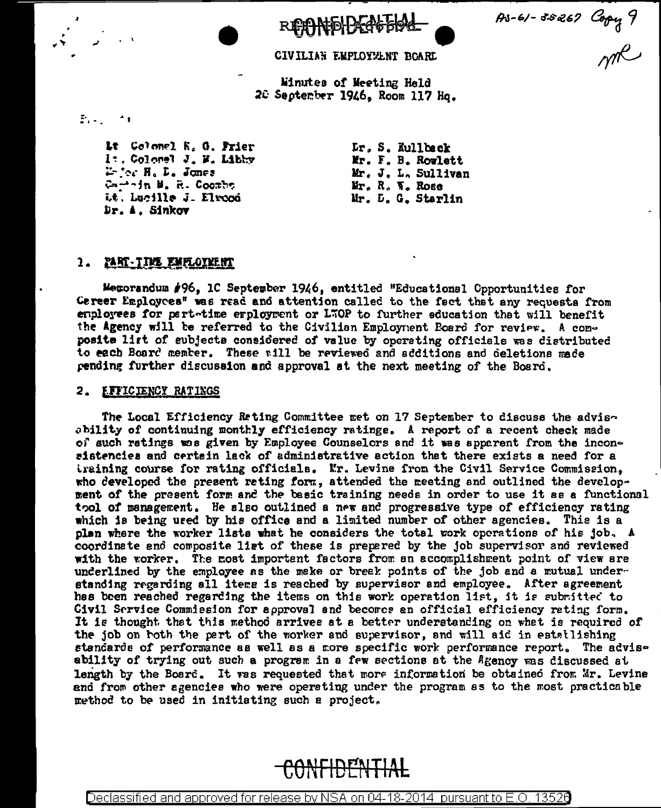As-61-35267 Copy 9

CIVILIAN EMPLOYMENT BOARD

Minutes of Meeting Held 20 September 1946, Room 117 Hq.

 $\mathbb{R}^{n}$ 

Lt Colomel K. G. Frier I: Colomel J. M. Libby Defor H. D. Jones Carrin M. R. Coombe it, Lucille J. Elropi Dr. A. Sinkov

Lr. S. Kullback Mr. F. B. Rowlett Mr. J. L. Sullivan Mr. R. W. Rose Mr. D. G. Starlin

# <u>1. PART-TIME EMPLOYMENT</u>

Memorandum #96, 1C September 1946, entitled "Educational Opportunities for Gereer Employces" was read and attention called to the fact that any requests from employees for pert-time employment or LTOP to further education that will benefit the Agency will be referred to the Civilian Employment Board for review. A composite list of subjects considered of value by operating officials was distributed to each Board member. These will be reviewed and additions and deletions made pending further discussion and approval at the next meeting of the Board.

# 2. EFFICIENCY RATINGS

The Local Efficiency Reting Committee met on 17 September to discuss the advisability of continuing monthly efficiency ratings. A report of a recent check made of such ratings was given by Employee Counselors and it was apparent from the inconsistencies and certain lack of administrative action that there exists a need for a training course for rating officials. Mr. Levine from the Civil Service Commission, who developed the present reting form, attended the meeting and outlined the development of the present form and the basic training needs in order to use it as a functional tool of management. He also outlined a new and progressive type of efficiency rating which is being used by his office and a limited number of other agencies. This is a plan where the worker lists what he considers the total work operations of his job. A coordinate and composite ligt of these is prepared by the job supervisor and reviewed with the worker. The most importent factors from an accomplishment point of view are underlined by the employee as the make or break points of the job and a mutual understanding regarding all items is reached by supervisor and employee. After agreement has been reached regarding the items on this work operation list, it is submitted to Civil Service Commission for approval and becomes an official efficiency rating form. It is thought that this method arrives at a better understanding on what is required of the job on both the part of the worker and supervisor, and will aid in estatlishing standards of performance as well as a more specific work performance report. The advisability of trying out such a program in a few sections at the Agency was discussed at length by the Board. It was requested that more information be obtained from Mr. Levine and from other agencies who were operating under the program as to the most practicable method to be used in initiating such a project.



Declassified and approved for release by NSA on 04-18-2014 pursuant to E.O. 13526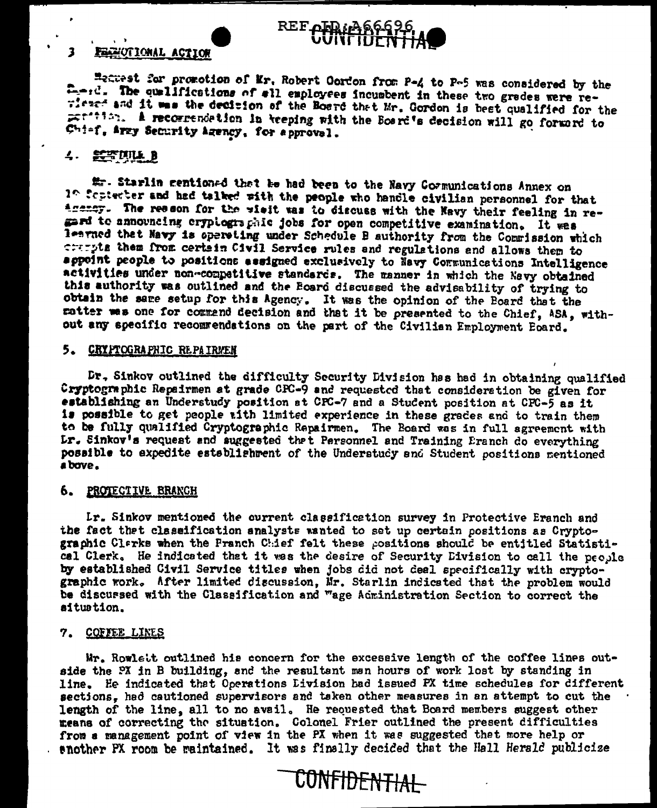

#### **FAZIOTIONAL ACTION** 3

Hetwest for promotion of Mr. Robert Oordon from P-4 to P-5 was considered by the first. The qualifications of all employees incumbent in these two grades were rewither and it was the decision of the Board that Mr. Gordon is best qualified for the perfiling. A recommendetion in breping with the Board's decision will go forward to Chief, Arzy Security Agency, for approval.

# 4. 经空隙证书

# - Starlin centioned that he had been to the Navy Cormunications Annex on 1º fepterter and had talked with the people who handle civilian personnel for that Agency. The resson for the wisit was to discuss with the Navy their feeling in regard to announcing crypiographic jobs for open competitive examination. It was learned that Navy is operating under Schedule B authority from the Commission which crarpts them from certain Civil Service rules and regulations and allows them to appoint people to positions assigned exclusively to Navy Communications Intelligence activities under non-competitive standards. The manner in which the Nevy obtained this authority was outlined and the Board discussed the advisability of trying to obtain the same setup for this Agency. It was the opinion of the Board that the ratter was one for commend decision and that it be presented to the Chief, ASA, without any specific recommendations on the part of the Civilian Employment Eoard.

# 5. CRYPTOGRAPHIC REPAIRVEN

Dr. Sinkov outlined the difficulty Security Division has had in obtaining qualified Cryptographic Repairmen at grade CPC-9 and requested that consideration be given for establishing an Understudy position at CPC-7 and a Student position at CPC-5 as it is possible to get people with limited experience in these grades and to train them to be fully qualified Cryptographic Repairmen. The Board was in full agreement with Lr. Sinkov's request and suggested that Personnel and Training Eranch do everything possible to expedite establishment of the Understudy and Student positions mentioned a bove.

## 6. PROTECTIVE BRANCH

Lr. Sinkov mentioned the current classification survey in Protective Eranch and the fact that classification analysts wanted to set up certain positions as Cryptographic Clarks when the Franch Chief felt these positions should be entitled Statistical Clerk. He indicated that it was the desire of Security Division to call the people by established Civil Service titles when jobs did not deal specifically with cryptographic work. After limited discussion, Mr. Starlin indicated that the problem would be discursed with the Classification and "age Administration Section to correct the situation.

## 7. COFFEE LINES

Mr. Rowlett outlined his concern for the excessive length of the coffee lines outside the PX in B building, and the resultant man hours of work lost by standing in line. He indicated that Operations Livision had issued FX time schedules for different sections, hed cautioned supervisors and teken other measures in an attempt to cut the length of the line, all to no avail. He requested that Board members suggest other means of correcting the situation. Colonel Frier outlined the present difficulties from a management point of view in the PX when it was suggested that more help or enother PX room be maintained. It was finally decided that the Hall Herald publicize